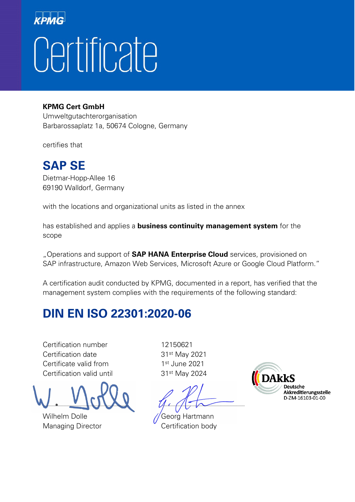#### **KPMG Cert GmbH**

Umweltgutachterorganisation Barbarossaplatz 1a, 50674 Cologne, Germany

certifies that

#### **SAP SE**

Dietmar-Hopp-Allee 16 69190 Walldorf, Germany

with the locations and organizational units as listed in the annex

has established and applies a **business continuity management system** for the scope

"Operations and support of **SAP HANA Enterprise Cloud** services, provisioned on SAP infrastructure, Amazon Web Services, Microsoft Azure or Google Cloud Platform."

A certification audit conducted by KPMG, documented in a report, has verified that the management system complies with the requirements of the following standard:

#### **DIN EN ISO 22301:2020-06**

Certification number 12150621 Certification date 31st May 2021 Certificate valid from 1st June 2021 Certification valid until 31<sup>st</sup> May 2024

 $\mathcal{L}$  . The set of  $\mathcal{L}$  and  $\mathcal{L}$  and  $\mathcal{L}$  and  $\mathcal{L}$  and  $\mathcal{L}$  and  $\mathcal{L}$  and  $\mathcal{L}$  and  $\mathcal{L}$ 

Wilhelm Dolle **Georg Hartmann** 

Managing Director **Certification body** 

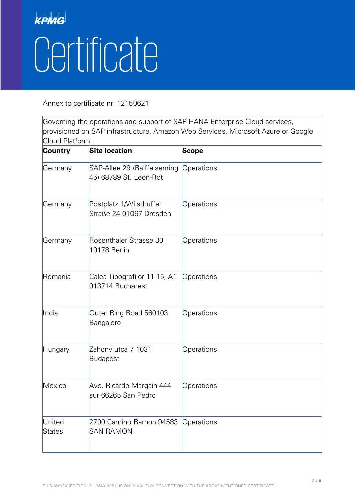Annex to certificate nr. 12150621

Governing the operations and support of SAP HANA Enterprise Cloud services, provisioned on SAP infrastructure, Amazon Web Services, Microsoft Azure or Google Cloud Platform.

| <b>Country</b>   | <b>Site location</b>                                   | <b>Scope</b> |
|------------------|--------------------------------------------------------|--------------|
| Germany          | SAP-Allee 29 (Raiffeisenring<br>45) 68789 St. Leon-Rot | Operations   |
| Germany          | Postplatz 1/Wilsdruffer<br>Straße 24 01067 Dresden     | Operations   |
| Germany          | Rosenthaler Strasse 30<br><b>10178 Berlin</b>          | Operations   |
| Romania          | Calea Tipografilor 11-15, A1<br>013714 Bucharest       | Operations   |
| India            | Outer Ring Road 560103<br>Bangalore                    | Operations   |
| Hungary          | Zahony utca 7 1031<br><b>Budapest</b>                  | Operations   |
| Mexico           | Ave. Ricardo Margain 444<br>sur 66265 San Pedro        | Operations   |
| United<br>States | 2700 Camino Ramon 94583<br><b>SAN RAMON</b>            | Operations   |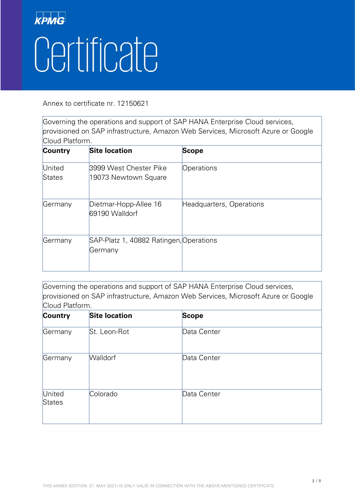Annex to certificate nr. 12150621

Governing the operations and support of SAP HANA Enterprise Cloud services, provisioned on SAP infrastructure, Amazon Web Services, Microsoft Azure or Google Cloud Platform.

| <b>Country</b>          | <b>Site location</b>                               | <b>Scope</b>             |
|-------------------------|----------------------------------------------------|--------------------------|
| United<br><b>States</b> | 3999 West Chester Pike<br>19073 Newtown Square     | Operations               |
| Germany                 | Dietmar-Hopp-Allee 16<br>69190 Walldorf            | Headquarters, Operations |
| Germany                 | SAP-Platz 1, 40882 Ratingen, Operations<br>Germany |                          |

Governing the operations and support of SAP HANA Enterprise Cloud services, provisioned on SAP infrastructure, Amazon Web Services, Microsoft Azure or Google Cloud Platform.

| <b>Country</b>          | <b>Site location</b> | <b>Scope</b> |  |
|-------------------------|----------------------|--------------|--|
| Germany                 | St. Leon-Rot         | Data Center  |  |
| Germany                 | <b>Walldorf</b>      | Data Center  |  |
| United<br><b>States</b> | Colorado             | Data Center  |  |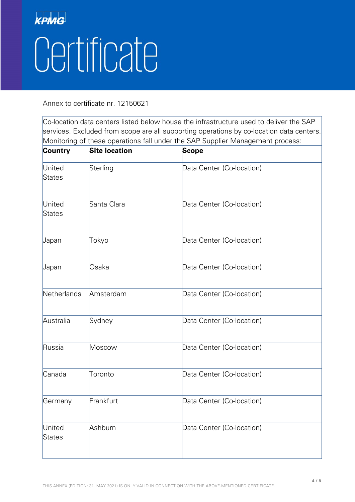Annex to certificate nr. 12150621

| Country          | <b>Site location</b> | <b>Scope</b>              |
|------------------|----------------------|---------------------------|
| United<br>States | Sterling             | Data Center (Co-location) |
| United<br>States | Santa Clara          | Data Center (Co-location) |
| Japan            | Tokyo                | Data Center (Co-location) |
| Japan            | Osaka                | Data Center (Co-location) |
| Netherlands      | Amsterdam            | Data Center (Co-location) |
| Australia        | Sydney               | Data Center (Co-location) |
| Russia           | Moscow               | Data Center (Co-location) |
| Canada           | Toronto              | Data Center (Co-location) |
| Germany          | Frankfurt            | Data Center (Co-location) |
| United<br>States | Ashburn              | Data Center (Co-location) |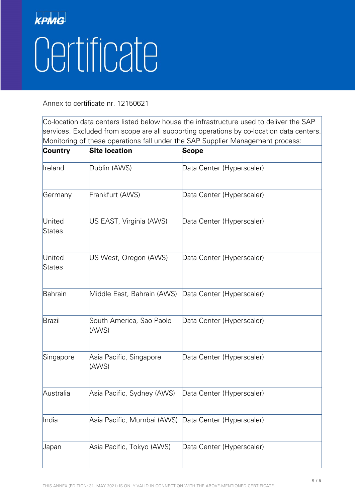Annex to certificate nr. 12150621

| Country          | <b>Site location</b>              | <b>Scope</b>              |
|------------------|-----------------------------------|---------------------------|
| Ireland          | Dublin (AWS)                      | Data Center (Hyperscaler) |
| Germany          | Frankfurt (AWS)                   | Data Center (Hyperscaler) |
| United<br>States | US EAST, Virginia (AWS)           | Data Center (Hyperscaler) |
| United<br>States | US West, Oregon (AWS)             | Data Center (Hyperscaler) |
| Bahrain          | Middle East, Bahrain (AWS)        | Data Center (Hyperscaler) |
| Brazil           | South America, Sao Paolo<br>(AWS) | Data Center (Hyperscaler) |
| Singapore        | Asia Pacific, Singapore<br>(AWS)  | Data Center (Hyperscaler) |
| Australia        | Asia Pacific, Sydney (AWS)        | Data Center (Hyperscaler) |
| India            | Asia Pacific, Mumbai (AWS)        | Data Center (Hyperscaler) |
| Japan            | Asia Pacific, Tokyo (AWS)         | Data Center (Hyperscaler) |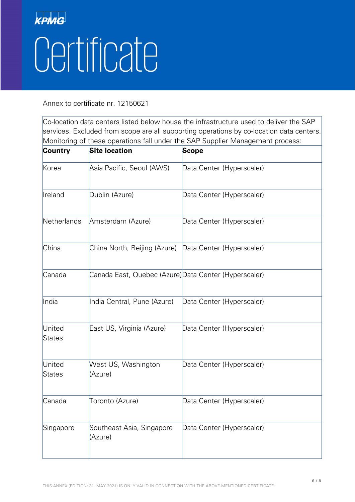Annex to certificate nr. 12150621

| <b>Country</b>   | <b>Site location</b>                                  | Scope                     |
|------------------|-------------------------------------------------------|---------------------------|
| Korea            | Asia Pacific, Seoul (AWS)                             | Data Center (Hyperscaler) |
| Ireland          | Dublin (Azure)                                        | Data Center (Hyperscaler) |
| Netherlands      | Amsterdam (Azure)                                     | Data Center (Hyperscaler) |
| China            | China North, Beijing (Azure)                          | Data Center (Hyperscaler) |
| Canada           | Canada East, Quebec (Azure) Data Center (Hyperscaler) |                           |
| India            | India Central, Pune (Azure)                           | Data Center (Hyperscaler) |
| United<br>States | East US, Virginia (Azure)                             | Data Center (Hyperscaler) |
| United<br>States | West US, Washington<br>(Azure)                        | Data Center (Hyperscaler) |
| Canada           | Toronto (Azure)                                       | Data Center (Hyperscaler) |
| Singapore        | Southeast Asia, Singapore<br>(Azure)                  | Data Center (Hyperscaler) |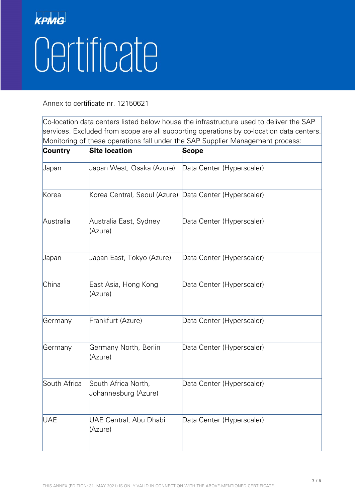Annex to certificate nr. 12150621

| <b>Country</b> | <b>Site location</b>                                   | <b>Scope</b>              |
|----------------|--------------------------------------------------------|---------------------------|
| Japan          | Japan West, Osaka (Azure)                              | Data Center (Hyperscaler) |
| Korea          | Korea Central, Seoul (Azure) Data Center (Hyperscaler) |                           |
| Australia      | Australia East, Sydney<br>(Azure)                      | Data Center (Hyperscaler) |
| Japan          | Japan East, Tokyo (Azure)                              | Data Center (Hyperscaler) |
| China          | East Asia, Hong Kong<br>(Azure)                        | Data Center (Hyperscaler) |
| Germany        | Frankfurt (Azure)                                      | Data Center (Hyperscaler) |
| Germany        | Germany North, Berlin<br>(Azure)                       | Data Center (Hyperscaler) |
| South Africa   | South Africa North,<br>Johannesburg (Azure)            | Data Center (Hyperscaler) |
| <b>UAE</b>     | UAE Central, Abu Dhabi<br>(Azure)                      | Data Center (Hyperscaler) |